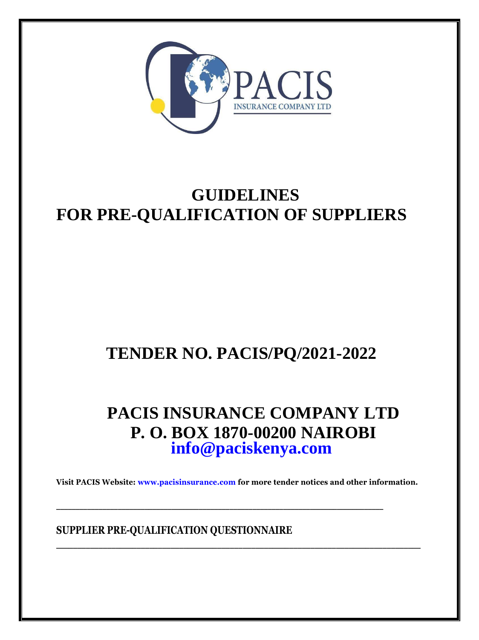

# **GUIDELINES FOR PRE-QUALIFICATION OF SUPPLIERS**

# **TENDER NO. PACIS/PQ/2021-2022**

# **PACIS INSURANCE COMPANY LTD P. O. BOX 1870-00200 NAIROBI [info@paciskenya.com](mailto:info@paciskenya.com)**

**Visit PACIS Website: [www.pacisinsurance.com f](http://www.pacisinsurance.com/)or more tender notices and other information.**

 $\mathcal{L}_\mathcal{L} = \mathcal{L}_\mathcal{L}$ 

**SUPPLIER PRE-QUALIFICATION QUESTIONNAIRE**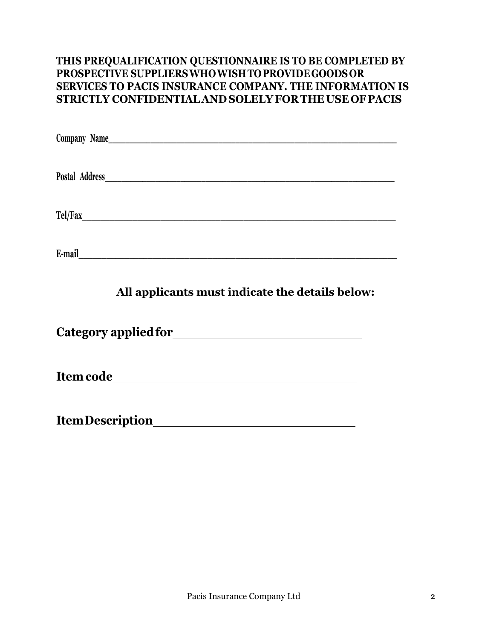# **THIS PREQUALIFICATION QUESTIONNAIRE IS TO BE COMPLETED BY PROSPECTIVE SUPPLIERSWHOWISHTOPROVIDEGOODS OR SERVICES TO PACIS INSURANCE COMPANY. THE INFORMATION IS STRICTLY CONFIDENTIALAND SOLELY FORTHE USE OF PACIS**

| Company Name                                                          |  |
|-----------------------------------------------------------------------|--|
|                                                                       |  |
| Postal Address<br><u> 1980 - Jan James James Barbara, president e</u> |  |
|                                                                       |  |
| Tel/Fax                                                               |  |
|                                                                       |  |
| E-mail                                                                |  |

# **All applicants must indicate the details below:**

**Category appliedfor**

**Item code**

**ItemDescription**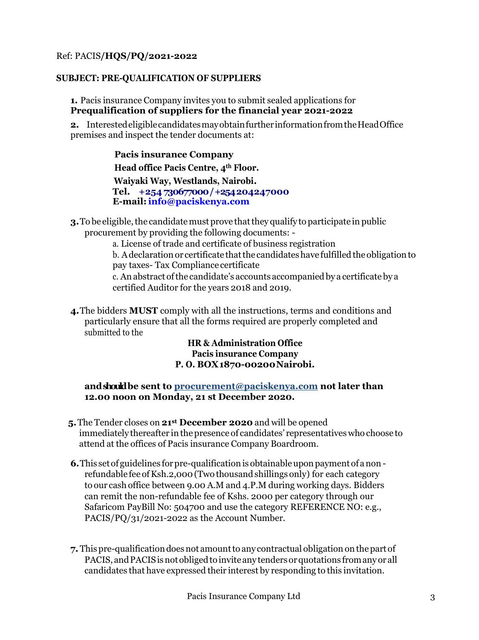### Ref: PACIS**/HQS/PQ/2021-2022**

#### **SUBJECT: PRE-QUALIFICATION OF SUPPLIERS**

**1.** Pacis insurance Company invites you to submit sealed applications for **Prequalification of suppliers for the financial year 2021-2022**

2. Interested eligible candidates may obtain further information from the Head Office premises and inspect the tender documents at:

> **Pacis insurance Company Head office Pacis Centre, 4th Floor. Waiyaki Way, Westlands, Nairobi. Tel. +254 730677000 / +254 204247000 E-mail[:info@paciskenya.com](mailto:info@paciskenya.com)**

**3.** To be eligible, the candidate must prove that they qualify to participate in public procurement by providing the following documents: -

a. License of trade and certificate of business registration

b. A declaration or certificate that the candidates have fulfilled the obligation to pay taxes- Tax Compliance certificate

c. An abstract ofthe candidate's accounts accompaniedby a certificate by a certified Auditor for the years 2018 and 2019.

**4.**The bidders **MUST** comply with all the instructions, terms and conditions and particularly ensure that all the forms required are properly completed and submitted to the

#### **HR & Administration Office Pacis insurance Company P. O. BOX1870-00200Nairobi.**

#### **andshouldbe sent to procurement@paciskenya.com not later than 12.00 noon on Monday, 21 st December 2020.**

- **5.**The Tender closes on **21st December 2020** and will be opened immediately thereafter in thepresence of candidates' representatives who choose to attend at the offices of Pacis insurance Company Boardroom.
- **6.** This set of guidelines for pre-qualification is obtainable upon payment of a nonrefundable fee of Ksh.2,000 (Two thousand shillings only) for each category to our cash office between 9.00 A.M and 4.P.M during working days. Bidders can remit the non-refundable fee of Kshs. 2000 per category through our Safaricom PayBill No: 504700 and use the category REFERENCE NO: e.g., PACIS/PQ/31/2021-2022 as the Account Number.
- **7.** Thispre-qualificationdoesnot amountto any contractual obligationonthepartof PACIS, and PACIS is not obliged to invite any tenders or quotations from any or all candidates that have expressed their interest by responding to this invitation.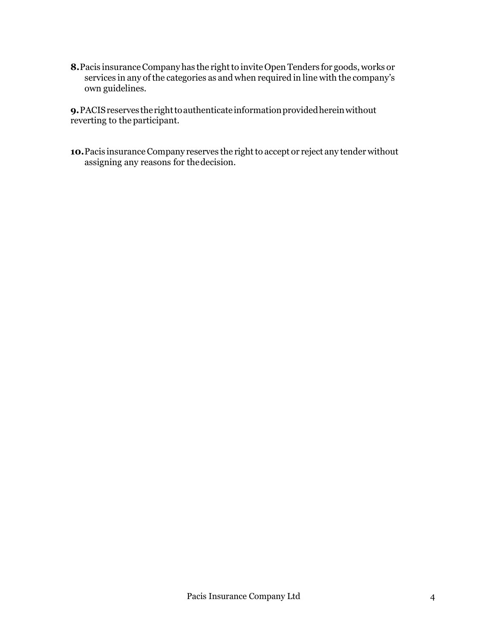**8.** Pacis insurance Company has the right to invite Open Tenders for goods, works or services in any of the categories as and when required in line with the company's own guidelines.

**9.** PACIS reserves the right to authenticate information provided herein without reverting to the participant.

10. Pacis insurance Company reserves the right to accept or reject any tender without assigning any reasons for thedecision.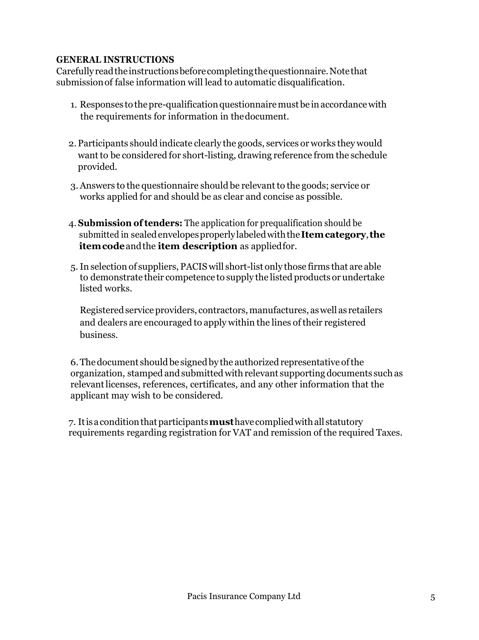# **GENERAL INSTRUCTIONS**

Carefullyreadtheinstructionsbeforecompletingthequestionnaire.Notethat submissionof false information will lead to automatic disqualification.

- 1. Responses to the pre-qualification questionnaire must be in accordance with the requirements for information in thedocument.
- 2.Participants should indicate clearly the goods, services or works they would want to be considered for short-listing, drawing reference from the schedule provided.
- 3. Answers to the questionnaire should be relevant to the goods; service or works applied for and should be as clear and concise as possible.
- 4.**Submission oftenders:** The application for prequalification should be submitted in sealedenvelopesproperlylabeledwiththe**Itemcategory**,**the itemcode**andthe **item description** as appliedfor.
- 5.In selection of suppliers, PACIS will short-list only those firms that are able to demonstrate their competence to supply the listed products or undertake listed works.

Registeredserviceproviders, contractors,manufactures, aswell as retailers and dealers are encouraged to apply within the lines of their registered business.

6. The document should be signed by the authorized representative of the organization, stamped and submitted with relevant supporting documents such as relevantlicenses, references, certificates, and any other information that the applicant may wish to be considered.

7. Itisaconditionthatparticipants**must**have compliedwithall statutory requirements regarding registration for VAT and remission of the required Taxes.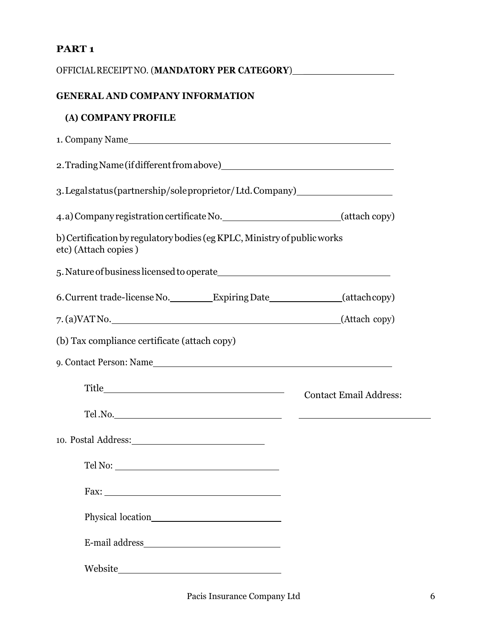# **PART 1**

| OFFICIAL RECEIPT NO. (MANDATORY PER CATEGORY)___________________________________                 |                               |
|--------------------------------------------------------------------------------------------------|-------------------------------|
| <b>GENERAL AND COMPANY INFORMATION</b>                                                           |                               |
| (A) COMPANY PROFILE                                                                              |                               |
|                                                                                                  |                               |
|                                                                                                  |                               |
| 3. Legal status (partnership/sole proprietor/Ltd. Company)                                       |                               |
| 4.a) Company registration certificate No. ______________________________(attach copy)            |                               |
| b) Certification by regulatory bodies (eg KPLC, Ministry of public works<br>etc) (Attach copies) |                               |
|                                                                                                  |                               |
| 6. Current trade-license No. __________Expiring Date________________(attachcopy)                 |                               |
|                                                                                                  |                               |
| (b) Tax compliance certificate (attach copy)                                                     |                               |
| 9. Contact Person: Name                                                                          |                               |
|                                                                                                  | <b>Contact Email Address:</b> |
| Tel.No.                                                                                          |                               |
| 10. Postal Address: 10. 10. Postal Address:                                                      |                               |
| Tel No:                                                                                          |                               |
|                                                                                                  |                               |
|                                                                                                  |                               |
| E-mail address                                                                                   |                               |
|                                                                                                  |                               |
|                                                                                                  |                               |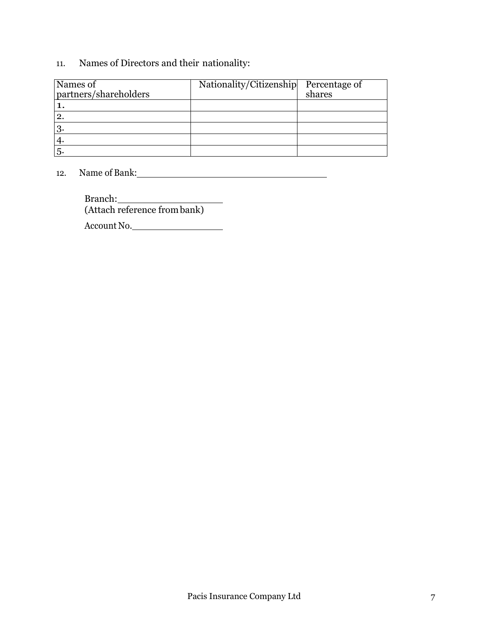# 11. Names of Directors and their nationality:

| Names of<br>partners/shareholders | Nationality/Citizenship | Percentage of<br>shares |
|-----------------------------------|-------------------------|-------------------------|
|                                   |                         |                         |
| $\overline{2}$                    |                         |                         |
| $3\cdot$                          |                         |                         |
|                                   |                         |                         |
| 5.                                |                         |                         |

12. Name of Bank:

Branch: (Attach reference frombank)

Account No.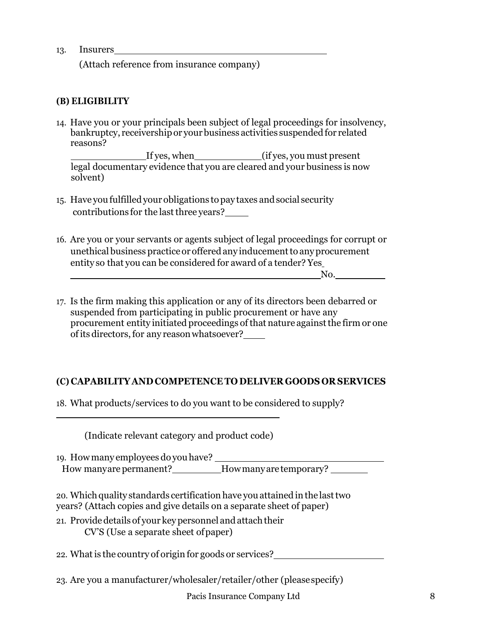#### 13. Insurers

(Attach reference from insurance company)

# **(B) ELIGIBILITY**

14. Have you or your principals been subject of legal proceedings for insolvency, bankruptcy, receivership or your business activities suspended for related reasons?

If yes, when (if yes, you must present legal documentary evidence that you are cleared and your business is now solvent)

- 15. Have you fulfilled your obligations topay taxes andsocial security contributions for the last three years?
- 16. Are you or your servants or agents subject of legal proceedings for corrupt or unethical business practice or offered any inducement to any procurement entity so that you can be considered for award of a tender? Yes No.
- 17. Is the firm making this application or any of its directors been debarred or suspended from participating in public procurement or have any procurement entity initiated proceedings of that nature against the firm or one ofits directors,for any reasonwhatsoever?

# **(C) CAPABILITY AND COMPETENCE TO DELIVER GOODS OR SERVICES**

18. What products/services to do you want to be considered to supply?

(Indicate relevant category and product code)

19. Howmany employees do youhave? How manyare permanent? How many are temporary?

20. Which quality standards certification have you attained in the last two years? (Attach copies and give details on a separate sheet of paper)

21. Providedetails of your keypersonnel and attachtheir CV'S (Use a separate sheet ofpaper)

22. What is the country of origin for goods or services?

23. Are you a manufacturer/wholesaler/retailer/other (pleasespecify)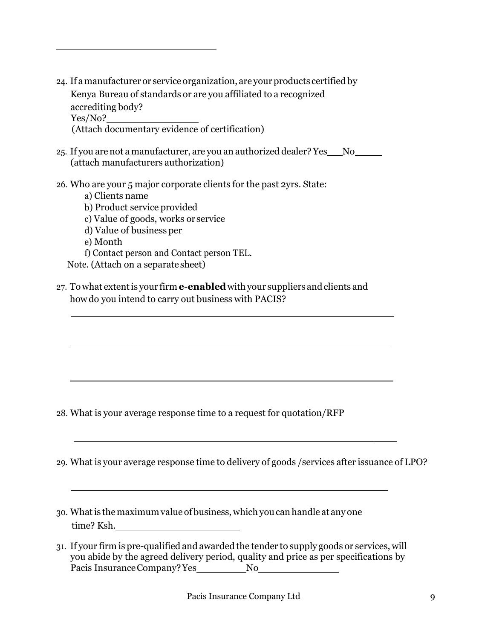- 24. If a manufacturer or service organization, are your products certified by Kenya Bureau of standards or are you affiliated to a recognized accrediting body? Yes/No? (Attach documentary evidence of certification)
- 25. If you are not a manufacturer, are you an authorized dealer? Yes No (attach manufacturers authorization)
- 26. Who are your 5 major corporate clients for the past 2yrs. State:
	- a) Clients name
	- b) Product service provided
	- c) Value of goods, works or service
	- d) Value of business per
	- e) Month
	- f) Contact person and Contact person TEL.

Note. (Attach on a separate sheet)

27. Towhat extentis your firm **e-enabled**withyour suppliers andclients and howdo you intend to carry out business with PACIS?

28. What is your average response time to a request for quotation/RFP

- 29. What is your average response time to delivery of goods /services after issuance of LPO?
- 30. Whatis themaximumvalue of business, which you can handle at any one time? Ksh.
- 31. If your firm is pre-qualified and awarded the tender to supply goods or services, will you abide by the agreed delivery period, quality and price as per specifications by Pacis Insurance Company? Yes No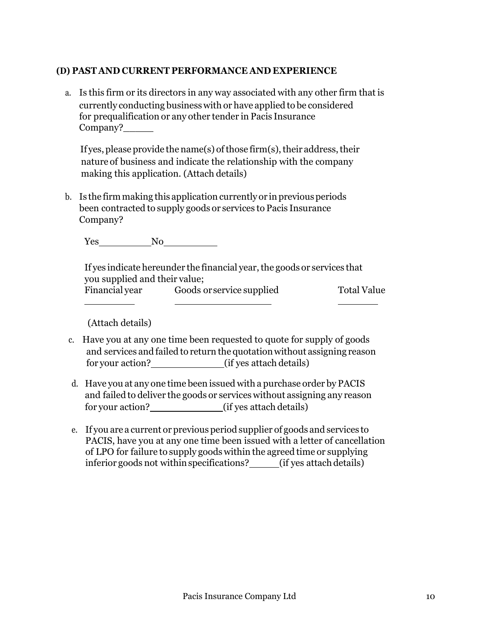## **(D) PAST AND CURRENT PERFORMANCE AND EXPERIENCE**

a. Is this firm or its directors in any way associated with any other firm that is currently conducting business with or have applied to be considered for prequalification or any other tender in Pacis Insurance Company?

If yes, please provide the name(s) of those firm(s), their address, their nature of business and indicate the relationship with the company making this application. (Attach details)

b. Is the firm making this application currently or in previous periods been contracted to supply goods or services to Pacis Insurance Company?

Yes No

If yes indicate hereunder the financial year, the goods or services that you supplied and their value; Financial year Goods or service supplied Total Value

(Attach details)

- c. Have you at any one time been requested to quote for supply of goods and services and failed to return the quotation without assigning reason for your action? (if yes attach details)
- d. Have you at any one time been issued with a purchase order by PACIS and failed to deliver the goods or services without assigning any reason for your action? (if yes attach details)
- e. If you are a current or previous period supplier of goods and services to PACIS, have you at any one time been issued with a letter of cancellation of LPO for failure to supply goods within the agreed time or supplying inferior goods not within specifications? (if yes attach details)